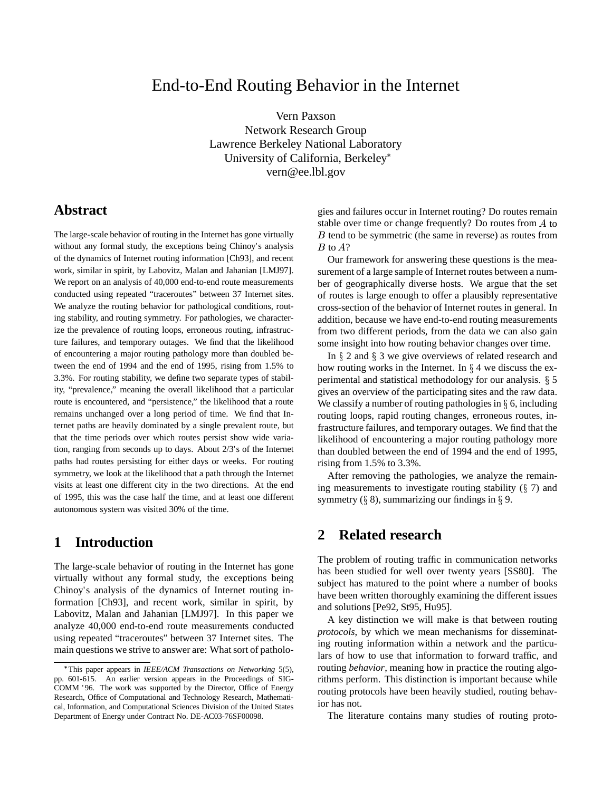# End-to-End Routing Behavior in the Internet

Vern Paxson Network Research Group Lawrence Berkeley National Laboratory University of California, Berkeley vern@ee.lbl.gov

# **Abstract**

The large-scale behavior of routing in the Internet has gone virtually without any formal study, the exceptions being Chinoy's analysis of the dynamics of Internet routing information [Ch93], and recent work, similar in spirit, by Labovitz, Malan and Jahanian [LMJ97]. We report on an analysis of 40,000 end-to-end route measurements conducted using repeated "traceroutes" between 37 Internet sites. We analyze the routing behavior for pathological conditions, routing stability, and routing symmetry. For pathologies, we characterize the prevalence of routing loops, erroneous routing, infrastructure failures, and temporary outages. We find that the likelihood of encountering a major routing pathology more than doubled between the end of 1994 and the end of 1995, rising from 1.5% to 3.3%. For routing stability, we define two separate types of stability, "prevalence," meaning the overall likelihood that a particular route is encountered, and "persistence," the likelihood that a route remains unchanged over a long period of time. We find that Internet paths are heavily dominated by a single prevalent route, but that the time periods over which routes persist show wide variation, ranging from seconds up to days. About 2/3's of the Internet paths had routes persisting for either days or weeks. For routing symmetry, we look at the likelihood that a path through the Internet visits at least one different city in the two directions. At the end of 1995, this was the case half the time, and at least one different autonomous system was visited 30% of the time.

# **1 Introduction**

The large-scale behavior of routing in the Internet has gone virtually without any formal study, the exceptions being Chinoy's analysis of the dynamics of Internet routing information [Ch93], and recent work, similar in spirit, by Labovitz, Malan and Jahanian [LMJ97]. In this paper we analyze 40,000 end-to-end route measurements conducted using repeated "traceroutes" between 37 Internet sites. The main questions we strive to answer are: What sort of pathologies and failures occur in Internet routing? Do routes remain stable over time or change frequently? Do routes from  $A$  to  $B$  tend to be symmetric (the same in reverse) as routes from  $B$  to  $A$ ?

Our framework for answering these questions is the measurement of a large sample of Internet routes between a number of geographically diverse hosts. We argue that the set of routes is large enough to offer a plausibly representative cross-section of the behavior of Internet routes in general. In addition, because we have end-to-end routing measurements from two different periods, from the data we can also gain some insight into how routing behavior changes over time.

In  $\S$  2 and  $\S$  3 we give overviews of related research and how routing works in the Internet. In  $\S$  4 we discuss the experimental and statistical methodology for our analysis.  $\S$  5 gives an overview of the participating sites and the raw data. We classify a number of routing pathologies in  $\S$  6, including routing loops, rapid routing changes, erroneous routes, infrastructure failures, and temporary outages. We find that the likelihood of encountering a major routing pathology more than doubled between the end of 1994 and the end of 1995, rising from 1.5% to 3.3%.

After removing the pathologies, we analyze the remaining measurements to investigate routing stability  $(\S 7)$  and symmetry  $(\S$  8), summarizing our findings in  $\S$  9.

# **2 Related research**

The problem of routing traffic in communication networks has been studied for well over twenty years [SS80]. The subject has matured to the point where a number of books have been written thoroughly examining the different issues and solutions [Pe92, St95, Hu95].

A key distinction we will make is that between routing *protocols*, by which we mean mechanisms for disseminating routing information within a network and the particulars of how to use that information to forward traffic, and routing *behavior*, meaning how in practice the routing algorithms perform. This distinction is important because while routing protocols have been heavily studied, routing behavior has not.

The literature contains many studies of routing proto-

This paper appears in *IEEE/ACM Transactions on Networking* 5(5), pp. 601-615. An earlier version appears in the Proceedings of SIG-COMM '96. The work was supported by the Director, Office of Energy Research, Office of Computational and Technology Research, Mathematical, Information, and Computational Sciences Division of the United States Department of Energy under Contract No. DE-AC03-76SF00098.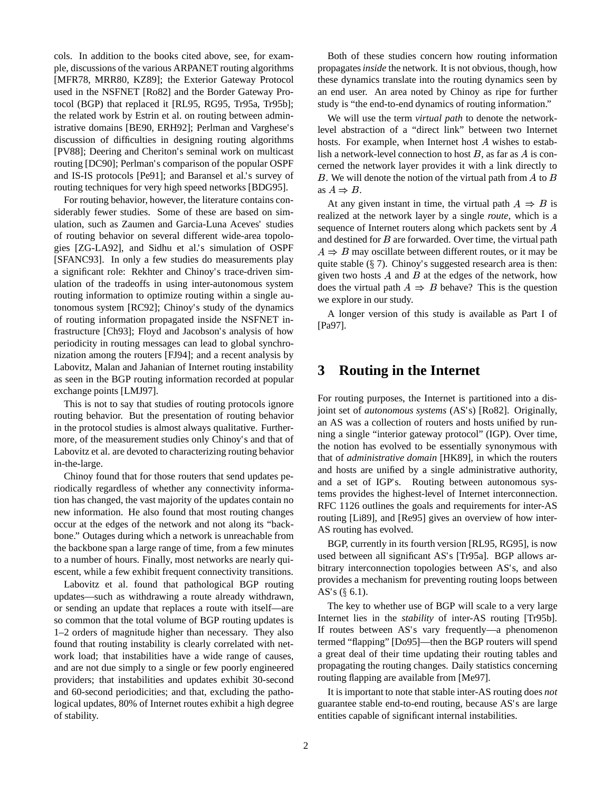cols. In addition to the books cited above, see, for example, discussions of the various ARPANET routing algorithms [MFR78, MRR80, KZ89]; the Exterior Gateway Protocol used in the NSFNET [Ro82] and the Border Gateway Protocol (BGP) that replaced it [RL95, RG95, Tr95a, Tr95b]; the related work by Estrin et al. on routing between administrative domains [BE90, ERH92]; Perlman and Varghese's discussion of difficulties in designing routing algorithms [PV88]; Deering and Cheriton's seminal work on multicast routing [DC90]; Perlman's comparison of the popular OSPF and IS-IS protocols [Pe91]; and Baransel et al.'s survey of routing techniques for very high speed networks [BDG95].

For routing behavior, however, the literature contains considerably fewer studies. Some of these are based on simulation, such as Zaumen and Garcia-Luna Aceves' studies of routing behavior on several different wide-area topologies [ZG-LA92], and Sidhu et al.'s simulation of OSPF [SFANC93]. In only a few studies do measurements play a significant role: Rekhter and Chinoy's trace-driven simulation of the tradeoffs in using inter-autonomous system routing information to optimize routing within a single autonomous system [RC92]; Chinoy's study of the dynamics of routing information propagated inside the NSFNET infrastructure [Ch93]; Floyd and Jacobson's analysis of how periodicity in routing messages can lead to global synchronization among the routers [FJ94]; and a recent analysis by Labovitz, Malan and Jahanian of Internet routing instability as seen in the BGP routing information recorded at popular exchange points [LMJ97].

This is not to say that studies of routing protocols ignore routing behavior. But the presentation of routing behavior in the protocol studies is almost always qualitative. Furthermore, of the measurement studies only Chinoy's and that of Labovitz et al. are devoted to characterizing routing behavior in-the-large.

Chinoy found that for those routers that send updates periodically regardless of whether any connectivity information has changed, the vast majority of the updates contain no new information. He also found that most routing changes occur at the edges of the network and not along its "backbone." Outages during which a network is unreachable from the backbone span a large range of time, from a few minutes to a number of hours. Finally, most networks are nearly quiescent, while a few exhibit frequent connectivity transitions.

Labovitz et al. found that pathological BGP routing updates—such as withdrawing a route already withdrawn, or sending an update that replaces a route with itself—are so common that the total volume of BGP routing updates is 1–2 orders of magnitude higher than necessary. They also found that routing instability is clearly correlated with network load; that instabilities have a wide range of causes, and are not due simply to a single or few poorly engineered providers; that instabilities and updates exhibit 30-second and 60-second periodicities; and that, excluding the pathological updates, 80% of Internet routes exhibit a high degree of stability.

Both of these studies concern how routing information propagates*inside* the network. It is not obvious, though, how these dynamics translate into the routing dynamics seen by an end user. An area noted by Chinoy as ripe for further study is "the end-to-end dynamics of routing information."

We will use the term *virtual path* to denote the networklevel abstraction of a "direct link" between two Internet hosts. For example, when Internet host  $A$  wishes to establish a network-level connection to host  $B$ , as far as  $A$  is concerned the network layer provides it with a link directly to B. We will denote the notion of the virtual path from  $A$  to  $B$ as  $A \Rightarrow B$ .

At any given instant in time, the virtual path  $A \Rightarrow B$  is realized at the network layer by a single *route*, which is a sequence of Internet routers along which packets sent by  $A$ and destined for  $B$  are forwarded. Over time, the virtual path  $A \Rightarrow B$  may oscillate between different routes, or it may be quite stable  $(\S 7)$ . Chinoy's suggested research area is then: given two hosts  $A$  and  $B$  at the edges of the network, how does the virtual path  $A \Rightarrow B$  behave? This is the question we explore in our study.

A longer version of this study is available as Part I of [Pa97].

# **3 Routing in the Internet**

For routing purposes, the Internet is partitioned into a disjoint set of *autonomous systems* (AS's) [Ro82]. Originally, an AS was a collection of routers and hosts unified by running a single "interior gateway protocol" (IGP). Over time, the notion has evolved to be essentially synonymous with that of *administrative domain* [HK89], in which the routers and hosts are unified by a single administrative authority, and a set of IGP's. Routing between autonomous systems provides the highest-level of Internet interconnection. RFC 1126 outlines the goals and requirements for inter-AS routing [Li89], and [Re95] gives an overview of how inter-AS routing has evolved.

BGP, currently in its fourth version [RL95, RG95], is now used between all significant AS's [Tr95a]. BGP allows arbitrary interconnection topologies between AS's, and also provides a mechanism for preventing routing loops between AS's  $(\S 6.1)$ .

The key to whether use of BGP will scale to a very large Internet lies in the *stability* of inter-AS routing [Tr95b]. If routes between AS's vary frequently—a phenomenon termed "flapping" [Do95]—then the BGP routers will spend a great deal of their time updating their routing tables and propagating the routing changes. Daily statistics concerning routing flapping are available from [Me97].

It is important to note that stable inter-AS routing does *not* guarantee stable end-to-end routing, because AS's are large entities capable of significant internal instabilities.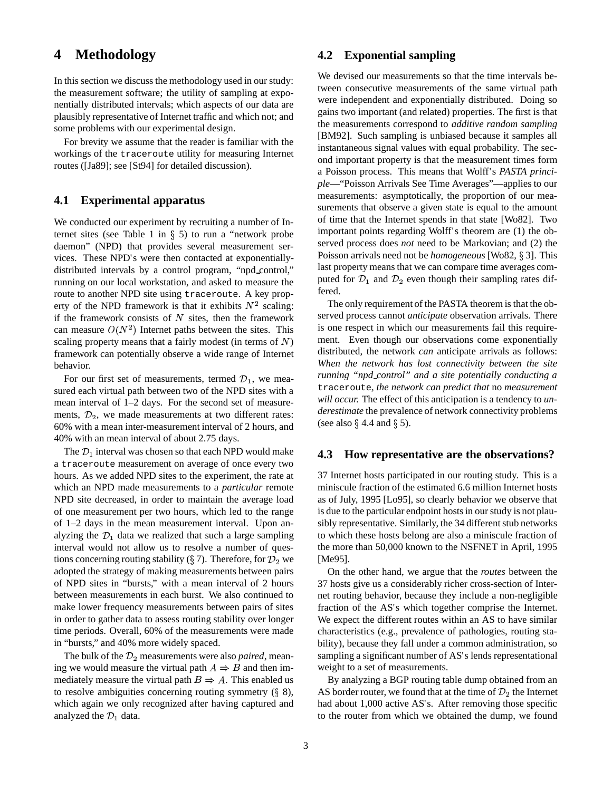# **4 Methodology**

In this section we discuss the methodology used in our study: the measurement software; the utility of sampling at exponentially distributed intervals; which aspects of our data are plausibly representative of Internet traffic and which not; and some problems with our experimental design.

For brevity we assume that the reader is familiar with the workings of the traceroute utility for measuring Internet routes ([Ja89]; see [St94] for detailed discussion).

## **4.1 Experimental apparatus**

We conducted our experiment by recruiting a number of Internet sites (see Table 1 in  $\S$  5) to run a "network probe daemon" (NPD) that provides several measurement services. These NPD's were then contacted at exponentiallydistributed intervals by a control program, "npd control," running on our local workstation, and asked to measure the route to another NPD site using traceroute. A key property of the NPD framework is that it exhibits  $N^2$  scaling: if the framework consists of  $N$  sites, then the framework can measure  $O(N^2)$  Internet paths between the sites. This scaling property means that a fairly modest (in terms of  $N$ ) ment. Even framework can potentially observe a wide range of Internet behavior.

For our first set of measurements, termed  $\mathcal{D}_1$ , we measured each virtual path between two of the NPD sites with a mean interval of 1–2 days. For the second set of measurements,  $\mathcal{D}_2$ , we made measurements at two different rates: 60% with a mean inter-measurement interval of 2 hours, and 40% with an mean interval of about 2.75 days.

The  $\mathcal{D}_1$  interval was chosen so that each NPD would make a traceroute measurement on average of once every two hours. As we added NPD sites to the experiment, the rate at which an NPD made measurements to a *particular* remote NPD site decreased, in order to maintain the average load of one measurement per two hours, which led to the range of 1–2 days in the mean measurement interval. Upon analyzing the  $\mathcal{D}_1$  data we realized that such a large sampling interval would not allow us to resolve a number of questions concerning routing stability ( $\S$  7). Therefore, for  $\mathcal{D}_2$  we adopted the strategy of making measurements between pairs of NPD sites in "bursts," with a mean interval of 2 hours between measurements in each burst. We also continued to make lower frequency measurements between pairs of sites in order to gather data to assess routing stability over longer time periods. Overall, 60% of the measurements were made in "bursts," and 40% more widely spaced.

The bulk of the  $\mathcal{D}_2$  measurements were also *paired*, meaning we would measure the virtual path  $A \Rightarrow B$  and then immediately measure the virtual path  $B \Rightarrow A$ . This enabled us to resolve ambiguities concerning routing symmetry  $(\S$  8), which again we only recognized after having captured and analyzed the  $\mathcal{D}_1$  data.

## **4.2 Exponential sampling**

We devised our measurements so that the time intervals between consecutive measurements of the same virtual path were independent and exponentially distributed. Doing so gains two important (and related) properties. The first is that the measurements correspond to *additive random sampling* [BM92]. Such sampling is unbiased because it samples all instantaneous signal values with equal probability. The second important property is that the measurement times form a Poisson process. This means that Wolff's *PASTA principle*—"Poisson Arrivals See Time Averages"—applies to our measurements: asymptotically, the proportion of our measurements that observe a given state is equal to the amount of time that the Internet spends in that state [Wo82]. Two important points regarding Wolff's theorem are (1) the observed process does *not* need to be Markovian; and (2) the Poisson arrivals need not be *homogeneous* [Wo82, § 3]. This last property means that we can compare time averages computed for  $\mathcal{D}_1$  and  $\mathcal{D}_2$  even though their sampling rates differed.

The only requirement of the PASTA theorem is that the observed process cannot *anticipate* observation arrivals. There is one respect in which our measurements fail this requirement. Even though our observations come exponentially distributed, the network *can* anticipate arrivals as follows: *When the network has lost connectivity between the site running "npd control" and a site potentially conducting a* traceroute*, the network can predict that* no *measurement will occur.* The effect of this anticipation is a tendency to *underestimate* the prevalence of network connectivity problems (see also  $\S$  4.4 and  $\S$  5).

### **4.3 How representative are the observations?**

37 Internet hosts participated in our routing study. This is a miniscule fraction of the estimated 6.6 million Internet hosts as of July, 1995 [Lo95], so clearly behavior we observe that is due to the particular endpoint hosts in our study is not plausibly representative. Similarly, the 34 different stub networks to which these hosts belong are also a miniscule fraction of the more than 50,000 known to the NSFNET in April, 1995 [Me95].

On the other hand, we argue that the *routes* between the 37 hosts give us a considerably richer cross-section of Internet routing behavior, because they include a non-negligible fraction of the AS's which together comprise the Internet. We expect the different routes within an AS to have similar characteristics (e.g., prevalence of pathologies, routing stability), because they fall under a common administration, so sampling a significant number of AS's lends representational weight to a set of measurements.

By analyzing a BGP routing table dump obtained from an AS border router, we found that at the time of  $\mathcal{D}_2$  the Internet had about 1,000 active AS's. After removing those specific to the router from which we obtained the dump, we found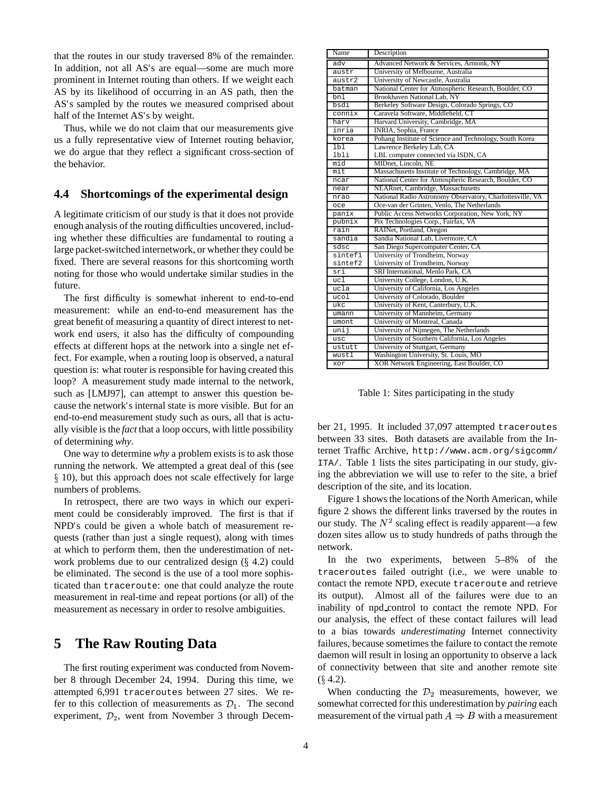that the routes in our study traversed 8% of the remainder. In addition, not all AS's are equal—some are much more prominent in Internet routing than others. If we weight each AS by its likelihood of occurring in an AS path, then the AS's sampled by the routes we measured comprised about half of the Internet AS's by weight.

Thus, while we do not claim that our measurements give us a fully representative view of Internet routing behavior, we do argue that they reflect a significant cross-section of the behavior.

### **4.4 Shortcomings of the experimental design**

A legitimate criticism of our study is that it does not provide enough analysis of the routing difficulties uncovered, including whether these difficulties are fundamental to routing a large packet-switched internetwork, or whether they could be fixed. There are several reasons for this shortcoming worth noting for those who would undertake similar studies in the future.

The first difficulty is somewhat inherent to end-to-end measurement: while an end-to-end measurement has the great benefit of measuring a quantity of direct interest to network end users, it also has the difficulty of compounding effects at different hops at the network into a single net effect. For example, when a routing loop is observed, a natural question is: what router is responsible for having created this loop? A measurement study made internal to the network, such as [LMJ97], can attempt to answer this question because the network's internal state is more visible. But for an end-to-end measurement study such as ours, all that is actually visible is the *fact* that a loop occurs, with little possibility of determining *why*.

One way to determine *why* a problem exists is to ask those running the network. We attempted a great deal of this (see  $\S$  10), but this approach does not scale effectively for large numbers of problems.

In retrospect, there are two ways in which our experiment could be considerably improved. The first is that if NPD's could be given a whole batch of measurement requests (rather than just a single request), along with times at which to perform them, then the underestimation of network problems due to our centralized design  $(\S$  4.2) could be eliminated. The second is the use of a tool more sophisticated than traceroute: one that could analyze the route measurement in real-time and repeat portions (or all) of the measurement as necessary in order to resolve ambiguities.

# **5 The Raw Routing Data**

The first routing experiment was conducted from November 8 through December 24, 1994. During this time, we attempted 6,991 traceroutes between 27 sites. We refer to this collection of measurements as  $\mathcal{D}_1$ . The second experiment,  $\mathcal{D}_2$ , went from November 3 through Decem-

| Name            | Description                                               |  |  |
|-----------------|-----------------------------------------------------------|--|--|
| adv             | Advanced Network & Services, Armonk, NY                   |  |  |
| austr           | University of Melbourne, Australia                        |  |  |
| austr2          | University of Newcastle, Australia                        |  |  |
| batman          | National Center for Atmospheric Research, Boulder, CO     |  |  |
| bnl             | Brookhaven National Lab, NY                               |  |  |
| bsdi            | Berkeley Software Design, Colorado Springs, CO            |  |  |
| connix          | Caravela Software, Middlefield, CT                        |  |  |
| harv            | Harvard University, Cambridge, MA                         |  |  |
| inria           | INRIA, Sophia, France                                     |  |  |
| korea           | Pohang Institute of Science and Technology, South Korea   |  |  |
| 1 <sub>b1</sub> | Lawrence Berkeley Lab, CA                                 |  |  |
| lbli            | LBL computer connected via ISDN, CA                       |  |  |
| mid             | MIDnet, Lincoln, NE                                       |  |  |
| mit             | Massachusetts Institute of Technology, Cambridge, MA      |  |  |
| ncar            | National Center for Atmospheric Research, Boulder, CO     |  |  |
| near            | NEARnet, Cambridge, Massachusetts                         |  |  |
| nrao            | National Radio Astronomy Observatory, Charlottesville, VA |  |  |
| oce             | Oce-van der Grinten, Venlo, The Netherlands               |  |  |
| panix           | Public Access Networks Corporation, New York, NY          |  |  |
| pubnix          | Pix Technologies Corp., Fairfax, VA                       |  |  |
| rain            | RAINet, Portland, Oregon                                  |  |  |
| sandia          | Sandia National Lab, Livermore, CA                        |  |  |
| sdsc            | San Diego Supercomputer Center, CA                        |  |  |
| sintef1         | University of Trondheim, Norway                           |  |  |
| sintef2         | University of Trondheim, Norway                           |  |  |
| sri             | SRI International, Menlo Park, CA                         |  |  |
| ucl             | University College, London, U.K.                          |  |  |
| ucla            | University of California, Los Angeles                     |  |  |
| ucol            | University of Colorado, Boulder                           |  |  |
| ukc             | University of Kent, Canterbury, U.K.                      |  |  |
| umann           | University of Mannheim, Germany                           |  |  |
| umont           | University of Montreal, Canada                            |  |  |
| unij            | University of Nijmegen, The Netherlands                   |  |  |
| usc             | University of Southern California, Los Angeles            |  |  |
| ustutt          | University of Stuttgart, Germany                          |  |  |
| wustl           | Washington University, St. Louis, MO                      |  |  |
| xor             | XOR Network Engineering, East Boulder, CO                 |  |  |

Table 1: Sites participating in the study

ber 21, 1995. It included 37,097 attempted traceroutes between 33 sites. Both datasets are available from the Internet Traffic Archive, http://www.acm.org/sigcomm/ ITA/. Table 1 lists the sites participating in our study, giving the abbreviation we will use to refer to the site, a brief description of the site, and its location.

Figure 1 shows the locations of the North American, while figure 2 shows the different links traversed by the routes in our study. The  $N^2$  scaling effect is readily apparent—a few dozen sites allow us to study hundreds of paths through the network.

In the two experiments, between 5–8% of the traceroutes failed outright (i.e., we were unable to contact the remote NPD, execute traceroute and retrieve its output). Almost all of the failures were due to an inability of npd control to contact the remote NPD. For our analysis, the effect of these contact failures will lead to a bias towards *underestimating* Internet connectivity failures, because sometimes the failure to contact the remote daemon will result in losing an opportunity to observe a lack of connectivity between that site and another remote site  $($ § 4.2).

When conducting the  $\mathcal{D}_2$  measurements, however, we somewhat corrected for this underestimation by *pairing* each measurement of the virtual path  $A \Rightarrow B$  with a measurement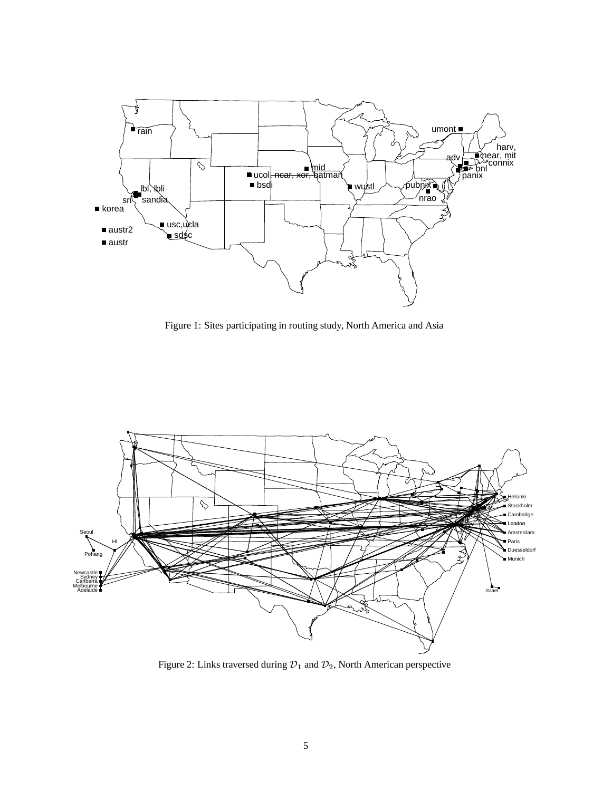

Figure 1: Sites participating in routing study, North America and Asia



Figure 2: Links traversed during  $\mathcal{D}_1$  and  $\mathcal{D}_2$ , North American perspective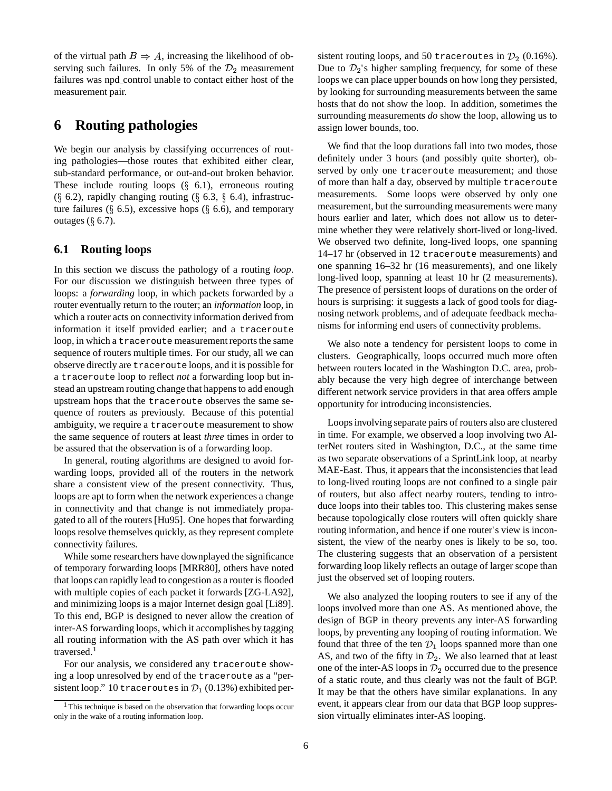of the virtual path  $B \Rightarrow A$ , increasing the likelihood of observing such failures. In only 5% of the  $\mathcal{D}_2$  measurement failures was npd control unable to contact either host of the measurement pair.

# **6 Routing pathologies**

We begin our analysis by classifying occurrences of routing pathologies—those routes that exhibited either clear, sub-standard performance, or out-and-out broken behavior. These include routing loops  $(\S$  6.1), erroneous routing  $(\S$  6.2), rapidly changing routing  $(\S$  6.3,  $\S$  6.4), infrastructure failures ( $\S$  6.5), excessive hops ( $\S$  6.6), and temporary outages  $(\S$  6.7).

## **6.1 Routing loops**

In this section we discuss the pathology of a routing *loop*. For our discussion we distinguish between three types of loops: a *forwarding* loop, in which packets forwarded by a router eventually return to the router; an *information* loop, in which a router acts on connectivity information derived from information it itself provided earlier; and a traceroute loop, in which a traceroute measurement reports the same sequence of routers multiple times. For our study, all we can observe directly are traceroute loops, and it is possible for a traceroute loop to reflect *not* a forwarding loop but instead an upstream routing change that happensto add enough upstream hops that the traceroute observes the same sequence of routers as previously. Because of this potential ambiguity, we require a traceroute measurement to show the same sequence of routers at least *three* times in order to be assured that the observation is of a forwarding loop.

In general, routing algorithms are designed to avoid forwarding loops, provided all of the routers in the network share a consistent view of the present connectivity. Thus, loops are apt to form when the network experiences a change in connectivity and that change is not immediately propagated to all of the routers [Hu95]. One hopes that forwarding loops resolve themselves quickly, as they represent complete connectivity failures.

While some researchers have downplayed the significance of temporary forwarding loops [MRR80], others have noted that loops can rapidly lead to congestion as a router is flooded with multiple copies of each packet it forwards [ZG-LA92], and minimizing loops is a major Internet design goal [Li89]. To this end, BGP is designed to never allow the creation of inter-AS forwarding loops, which it accomplishes by tagging all routing information with the AS path over which it has traversed. 

For our analysis, we considered any traceroute showing a loop unresolved by end of the traceroute as a "persistent loop." 10 traceroutes in  $\mathcal{D}_1$  (0.13%) exhibited per-

sistent routing loops, and 50 traceroutes in  $\mathcal{D}_2$  (0.16%). Due to  $\mathcal{D}_2$ 's higher sampling frequency, for some of these loops we can place upper bounds on how long they persisted, by looking for surrounding measurements between the same hosts that do not show the loop. In addition, sometimes the surrounding measurements *do* show the loop, allowing us to assign lower bounds, too.

We find that the loop durations fall into two modes, those definitely under 3 hours (and possibly quite shorter), observed by only one traceroute measurement; and those of more than half a day, observed by multiple traceroute measurements. Some loops were observed by only one measurement, but the surrounding measurements were many hours earlier and later, which does not allow us to determine whether they were relatively short-lived or long-lived. We observed two definite, long-lived loops, one spanning 14–17 hr (observed in 12 traceroute measurements) and one spanning 16–32 hr (16 measurements), and one likely long-lived loop, spanning at least 10 hr (2 measurements). The presence of persistent loops of durations on the order of hours is surprising: it suggests a lack of good tools for diagnosing network problems, and of adequate feedback mechanisms for informing end users of connectivity problems.

We also note a tendency for persistent loops to come in clusters. Geographically, loops occurred much more often between routers located in the Washington D.C. area, probably because the very high degree of interchange between different network service providers in that area offers ample opportunity for introducing inconsistencies.

Loopsinvolving separate pairs of routers also are clustered in time. For example, we observed a loop involving two AlterNet routers sited in Washington, D.C., at the same time as two separate observations of a SprintLink loop, at nearby MAE-East. Thus, it appears that the inconsistencies that lead to long-lived routing loops are not confined to a single pair of routers, but also affect nearby routers, tending to introduce loops into their tables too. This clustering makes sense because topologically close routers will often quickly share routing information, and hence if one router's view is inconsistent, the view of the nearby ones is likely to be so, too. The clustering suggests that an observation of a persistent forwarding loop likely reflects an outage of larger scope than just the observed set of looping routers.

We also analyzed the looping routers to see if any of the loops involved more than one AS. As mentioned above, the design of BGP in theory prevents any inter-AS forwarding loops, by preventing any looping of routing information. We found that three of the ten  $\mathcal{D}_1$  loops spanned more than one AS, and two of the fifty in  $\mathcal{D}_2$ . We also learned that at least one of the inter-AS loops in  $\mathcal{D}_2$  occurred due to the presence of a static route, and thus clearly was not the fault of BGP. It may be that the others have similar explanations. In any event, it appears clear from our data that BGP loop suppression virtually eliminates inter-AS looping.

<sup>&</sup>lt;sup>1</sup>This technique is based on the observation that forwarding loops occur only in the wake of a routing information loop.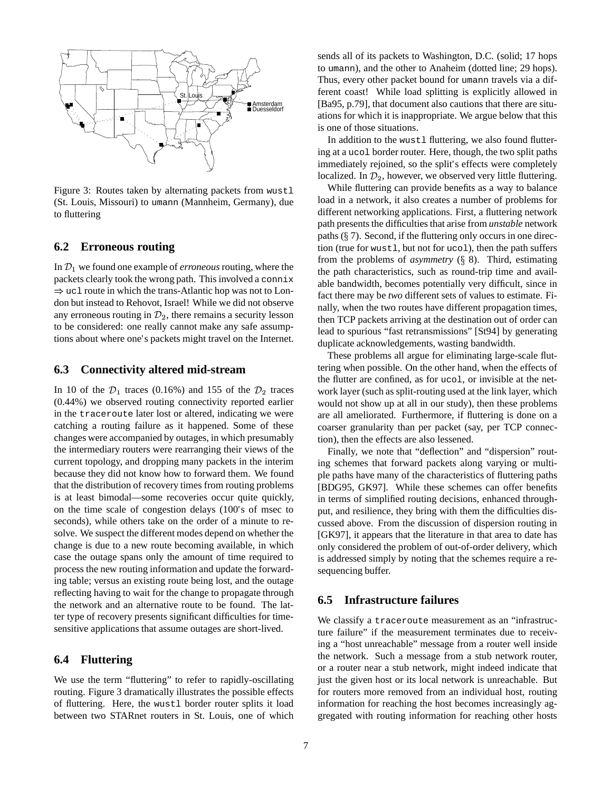

Figure 3: Routes taken by alternating packets from wustl (St. Louis, Missouri) to umann (Mannheim, Germany), due to fluttering

### **6.2 Erroneous routing**

In  $\mathcal{D}_1$  we found one example of *erroneous* routing, where the packets clearly took the wrong path. This involved a connix  $\Rightarrow$  ucl route in which the trans-Atlantic hop was not to London but instead to Rehovot, Israel! While we did not observe any erroneous routing in  $\mathcal{D}_2$ , there remains a security lesson to be considered: one really cannot make any safe assumptions about where one's packets might travel on the Internet.

### **6.3 Connectivity altered mid-stream**

In 10 of the  $\mathcal{D}_1$  traces (0.16%) and 155 of the  $\mathcal{D}_2$  traces (0.44%) we observed routing connectivity reported earlier in the traceroute later lost or altered, indicating we were catching a routing failure as it happened. Some of these changes were accompanied by outages, in which presumably the intermediary routers were rearranging their views of the current topology, and dropping many packets in the interim because they did not know how to forward them. We found that the distribution of recovery times from routing problems is at least bimodal—some recoveries occur quite quickly, on the time scale of congestion delays (100's of msec to seconds), while others take on the order of a minute to resolve. We suspect the different modes depend on whether the change is due to a new route becoming available, in which case the outage spans only the amount of time required to process the new routing information and update the forwarding table; versus an existing route being lost, and the outage reflecting having to wait for the change to propagate through the network and an alternative route to be found. The latter type of recovery presents significant difficulties for timesensitive applications that assume outages are short-lived.

# **6.4 Fluttering**

We use the term "fluttering" to refer to rapidly-oscillating routing. Figure 3 dramatically illustrates the possible effects of fluttering. Here, the wustl border router splits it load between two STARnet routers in St. Louis, one of which sends all of its packets to Washington, D.C. (solid; 17 hops to umann), and the other to Anaheim (dotted line; 29 hops). Thus, every other packet bound for umann travels via a different coast! While load splitting is explicitly allowed in [Ba95, p.79], that document also cautions that there are situations for which it is inappropriate. We argue below that this is one of those situations.

In addition to the wustl fluttering, we also found fluttering at a ucol border router. Here, though, the two split paths immediately rejoined, so the split's effects were completely localized. In  $\mathcal{D}_2$ , however, we observed very little fluttering.

While fluttering can provide benefits as a way to balance load in a network, it also creates a number of problems for different networking applications. First, a fluttering network path presents the difficulties that arise from *unstable* network paths  $(\S 7)$ . Second, if the fluttering only occurs in one direction (true for wustl, but not for ucol), then the path suffers from the problems of *asymmetry*  $(\S$  8). Third, estimating the path characteristics, such as round-trip time and available bandwidth, becomes potentially very difficult, since in fact there may be *two* different sets of values to estimate. Finally, when the two routes have different propagation times, then TCP packets arriving at the destination out of order can lead to spurious "fast retransmissions" [St94] by generating duplicate acknowledgements, wasting bandwidth.

These problems all argue for eliminating large-scale fluttering when possible. On the other hand, when the effects of the flutter are confined, as for ucol, or invisible at the network layer (such as split-routing used at the link layer, which would not show up at all in our study), then these problems are all ameliorated. Furthermore, if fluttering is done on a coarser granularity than per packet (say, per TCP connection), then the effects are also lessened.

Finally, we note that "deflection" and "dispersion" routing schemes that forward packets along varying or multiple paths have many of the characteristics of fluttering paths [BDG95, GK97]. While these schemes can offer benefits in terms of simplified routing decisions, enhanced throughput, and resilience, they bring with them the difficulties discussed above. From the discussion of dispersion routing in [GK97], it appears that the literature in that area to date has only considered the problem of out-of-order delivery, which is addressed simply by noting that the schemes require a resequencing buffer.

### **6.5 Infrastructure failures**

We classify a traceroute measurement as an "infrastructure failure" if the measurement terminates due to receiving a "host unreachable" message from a router well inside the network. Such a message from a stub network router, or a router near a stub network, might indeed indicate that just the given host or its local network is unreachable. But for routers more removed from an individual host, routing information for reaching the host becomes increasingly aggregated with routing information for reaching other hosts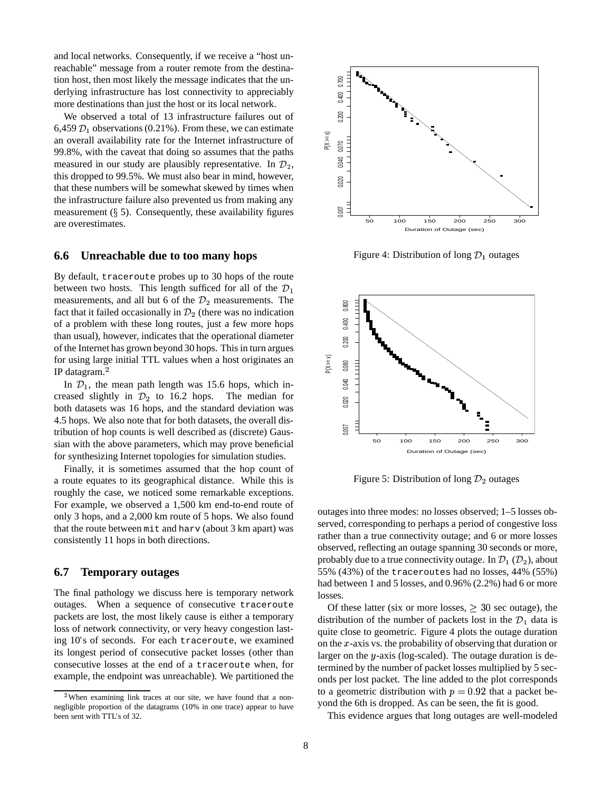and local networks. Consequently, if we receive a "host unreachable" message from a router remote from the destination host, then most likely the message indicates that the underlying infrastructure has lost connectivity to appreciably more destinations than just the host or its local network.

We observed a total of 13 infrastructure failures out of 6,459  $\mathcal{D}_1$  observations (0.21%). From these, we can estimate an overall availability rate for the Internet infrastructure of 99.8%, with the caveat that doing so assumes that the paths measured in our study are plausibly representative. In  $\mathcal{D}_2$ , this dropped to 99.5%. We must also bear in mind, however, that these numbers will be somewhat skewed by times when the infrastructure failure also prevented us from making any measurement  $(\S 5)$ . Consequently, these availability figures are overestimates.

#### **6.6 Unreachable due to too many hops**

By default, traceroute probes up to 30 hops of the route between two hosts. This length sufficed for all of the  $\mathcal{D}_1$ measurements, and all but 6 of the  $\mathcal{D}_2$  measurements. The fact that it failed occasionally in  $\mathcal{D}_2$  (there was no indication of a problem with these long routes, just a few more hops than usual), however, indicates that the operational diameter of the Internet has grown beyond 30 hops. This in turn argues for using large initial TTL values when a host originates an IP datagram.

In  $\mathcal{D}_1$ , the mean path length was 15.6 hops, which increased slightly in  $\mathcal{D}_2$  to 16.2 hops. The median for both datasets was 16 hops, and the standard deviation was 4.5 hops. We also note that for both datasets, the overall distribution of hop counts is well described as (discrete) Gaussian with the above parameters, which may prove beneficial for synthesizing Internet topologies for simulation studies.

Finally, it is sometimes assumed that the hop count of a route equates to its geographical distance. While this is roughly the case, we noticed some remarkable exceptions. For example, we observed a 1,500 km end-to-end route of only 3 hops, and a 2,000 km route of 5 hops. We also found that the route between mit and harv (about 3 km apart) was consistently 11 hops in both directions.

### **6.7 Temporary outages**

The final pathology we discuss here is temporary network outages. When a sequence of consecutive traceroute packets are lost, the most likely cause is either a temporary loss of network connectivity, or very heavy congestion lasting 10's of seconds. For each traceroute, we examined its longest period of consecutive packet losses (other than consecutive losses at the end of a traceroute when, for example, the endpoint was unreachable). We partitioned the



Figure 4: Distribution of long  $\mathcal{D}_1$  outages



Figure 5: Distribution of long  $\mathcal{D}_2$  outages

outages into three modes: no losses observed; 1–5 losses observed, corresponding to perhaps a period of congestive loss rather than a true connectivity outage; and 6 or more losses observed, reflecting an outage spanning 30 seconds or more, probably due to a true connectivity outage. In  $\mathcal{D}_1$  ( $\mathcal{D}_2$ ), about 55% (43%) of the traceroutes had no losses, 44% (55%) had between 1 and 5 losses, and 0.96% (2.2%) had 6 or more losses.

Of these latter (six or more losses,  $\geq 30$  sec outage), the distribution of the number of packets lost in the  $\mathcal{D}_1$  data is quite close to geometric. Figure 4 plots the outage duration on the  $x$ -axis vs. the probability of observing that duration or larger on the  $y$ -axis (log-scaled). The outage duration is determined by the number of packet losses multiplied by 5 seconds per lost packet. The line added to the plot corresponds to a geometric distribution with  $p = 0.92$  that a packet beyond the 6th is dropped. As can be seen, the fit is good.

This evidence argues that long outages are well-modeled

<sup>&</sup>lt;sup>2</sup>When examining link traces at our site, we have found that a nonnegligible proportion of the datagrams (10% in one trace) appear to have been sent with TTL's of 32.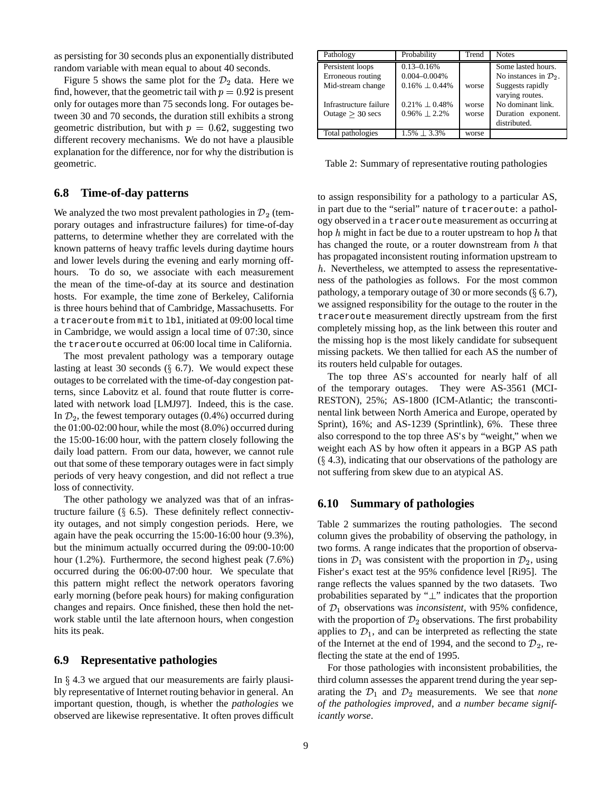as persisting for 30 seconds plus an exponentially distributed random variable with mean equal to about 40 seconds.

Figure 5 shows the same plot for the  $\mathcal{D}_2$  data. Here we find, however, that the geometric tail with  $p = 0.92$  is present only for outages more than 75 seconds long. For outages between 30 and 70 seconds, the duration still exhibits a strong geometric distribution, but with  $p = 0.62$ , suggesting two different recovery mechanisms. We do not have a plausible explanation for the difference, nor for why the distribution is geometric.

### **6.8 Time-of-day patterns**

We analyzed the two most prevalent pathologies in  $\mathcal{D}_2$  (temporary outages and infrastructure failures) for time-of-day patterns, to determine whether they are correlated with the known patterns of heavy traffic levels during daytime hours and lower levels during the evening and early morning offhours. To do so, we associate with each measurement the mean of the time-of-day at its source and destination hosts. For example, the time zone of Berkeley, California is three hours behind that of Cambridge, Massachusetts. For a traceroute from mit to lbl, initiated at 09:00 local time in Cambridge, we would assign a local time of 07:30, since the traceroute occurred at 06:00 local time in California.

The most prevalent pathology was a temporary outage lasting at least 30 seconds  $(\S$  6.7). We would expect these outages to be correlated with the time-of-day congestion patterns, since Labovitz et al. found that route flutter is correlated with network load [LMJ97]. Indeed, this is the case. In  $\mathcal{D}_2$ , the fewest temporary outages (0.4%) occurred during the 01:00-02:00 hour, while the most (8.0%) occurred during the 15:00-16:00 hour, with the pattern closely following the daily load pattern. From our data, however, we cannot rule out that some of these temporary outages were in fact simply periods of very heavy congestion, and did not reflect a true loss of connectivity.

The other pathology we analyzed was that of an infrastructure failure  $(\S$  6.5). These definitely reflect connectivity outages, and not simply congestion periods. Here, we again have the peak occurring the 15:00-16:00 hour (9.3%), but the minimum actually occurred during the 09:00-10:00 hour (1.2%). Furthermore, the second highest peak (7.6%) occurred during the 06:00-07:00 hour. We speculate that this pattern might reflect the network operators favoring early morning (before peak hours) for making configuration changes and repairs. Once finished, these then hold the network stable until the late afternoon hours, when congestion hits its peak.

### **6.9 Representative pathologies**

In  $\S$  4.3 we argued that our measurements are fairly plausibly representative of Internet routing behavior in general. An important question, though, is whether the *pathologies* we observed are likewise representative. It often proves difficult

| Pathology              | Probability           | Trend | <b>Notes</b>                      |
|------------------------|-----------------------|-------|-----------------------------------|
| Persistent loops       | $0.13 - 0.16\%$       |       | Some lasted hours.                |
| Erroneous routing      | $0.004 - 0.004\%$     |       | No instances in $\mathcal{D}_2$ . |
| Mid-stream change      | $0.16\% \perp 0.44\%$ | worse | Suggests rapidly                  |
|                        |                       |       | varying routes.                   |
| Infrastructure failure | $0.21\% \perp 0.48\%$ | worse | No dominant link.                 |
| Outage $> 30$ secs     | $0.96\% \perp 2.2\%$  | worse | Duration exponent.                |
|                        |                       |       | distributed.                      |
| Total pathologies      | $1.5\% \perp 3.3\%$   | worse |                                   |

Table 2: Summary of representative routing pathologies

to assign responsibility for a pathology to a particular AS, in part due to the "serial" nature of traceroute: a pathology observed in a traceroute measurement as occurring at hop  $h$  might in fact be due to a router upstream to hop  $h$  that has changed the route, or a router downstream from  $h$  that has propagated inconsistent routing information upstream to . Nevertheless, we attempted to assess the representativeness of the pathologies as follows. For the most common pathology, a temporary outage of 30 or more seconds  $(\S 6.7)$ , we assigned responsibility for the outage to the router in the traceroute measurement directly upstream from the first completely missing hop, as the link between this router and the missing hop is the most likely candidate for subsequent missing packets. We then tallied for each AS the number of its routers held culpable for outages.

The top three AS's accounted for nearly half of all of the temporary outages. They were AS-3561 (MCI-RESTON), 25%; AS-1800 (ICM-Atlantic; the transcontinental link between North America and Europe, operated by Sprint), 16%; and AS-1239 (Sprintlink), 6%. These three also correspond to the top three AS's by "weight," when we weight each AS by how often it appears in a BGP AS path  $(\S$  4.3), indicating that our observations of the pathology are not suffering from skew due to an atypical AS.

#### **6.10 Summary of pathologies**

Table 2 summarizes the routing pathologies. The second column gives the probability of observing the pathology, in two forms. A range indicates that the proportion of observations in  $\mathcal{D}_1$  was consistent with the proportion in  $\mathcal{D}_2$ , using Fisher's exact test at the 95% confidence level [Ri95]. The range reflects the values spanned by the two datasets. Two probabilities separated by " $\perp$ " indicates that the proportion of  $D_1$  observations was *inconsistent*, with 95% confidence, with the proportion of  $\mathcal{D}_2$  observations. The first probability applies to  $\mathcal{D}_1$ , and can be interpreted as reflecting the state of the Internet at the end of 1994, and the second to  $\mathcal{D}_2$ , reflecting the state at the end of 1995.

For those pathologies with inconsistent probabilities, the third column assesses the apparent trend during the year separating the  $\mathcal{D}_1$  and  $\mathcal{D}_2$  measurements. We see that *none of the pathologies improved*, and *a number became significantly worse*.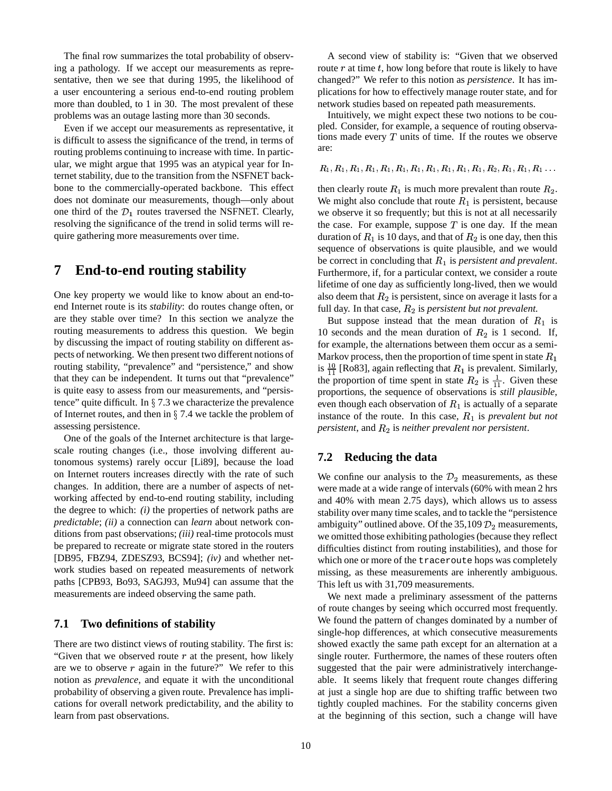The final row summarizes the total probability of observing a pathology. If we accept our measurements as representative, then we see that during 1995, the likelihood of a user encountering a serious end-to-end routing problem more than doubled, to 1 in 30. The most prevalent of these problems was an outage lasting more than 30 seconds.

Even if we accept our measurements as representative, it is difficult to assess the significance of the trend, in terms of routing problems continuing to increase with time. In particular, we might argue that 1995 was an atypical year for Internet stability, due to the transition from the NSFNET backbone to the commercially-operated backbone. This effect does not dominate our measurements, though—only about one third of the  $\mathcal{D}_1$  routes traversed the NSFNET. Clearly, resolving the significance of the trend in solid terms will require gathering more measurements over time.

# **7 End-to-end routing stability**

One key property we would like to know about an end-toend Internet route is its *stability*: do routes change often, or are they stable over time? In this section we analyze the routing measurements to address this question. We begin by discussing the impact of routing stability on different aspects of networking. We then present two different notions of routing stability, "prevalence" and "persistence," and show that they can be independent. It turns out that "prevalence" is quite easy to assess from our measurements, and "persistence" quite difficult. In  $\S$  7.3 we characterize the prevalence of Internet routes, and then in  $\S$  7.4 we tackle the problem of assessing persistence.

One of the goals of the Internet architecture is that largescale routing changes (i.e., those involving different autonomous systems) rarely occur [Li89], because the load on Internet routers increases directly with the rate of such changes. In addition, there are a number of aspects of networking affected by end-to-end routing stability, including the degree to which: *(i)* the properties of network paths are *predictable*; *(ii)* a connection can *learn* about network conditions from past observations; *(iii)* real-time protocols must be prepared to recreate or migrate state stored in the routers [DB95, FBZ94, ZDESZ93, BCS94]; *(iv)* and whether network studies based on repeated measurements of network paths [CPB93, Bo93, SAGJ93, Mu94] can assume that the measurements are indeed observing the same path.

## **7.1 Two definitions of stability**

There are two distinct views of routing stability. The first is: "Given that we observed route  $r$  at the present, how likely are we to observe  $r$  again in the future?" We refer to this notion as *prevalence*, and equate it with the unconditional probability of observing a given route. Prevalence has implications for overall network predictability, and the ability to learn from past observations.

A second view of stability is: "Given that we observed route  $r$  at time  $t$ , how long before that route is likely to have changed?" We refer to this notion as *persistence*. It has implications for how to effectively manage router state, and for network studies based on repeated path measurements.

Intuitively, we might expect these two notions to be coupled. Consider, for example, a sequence of routing observations made every  $T$  units of time. If the routes we observe are:

then clearly route  $R_1$  is much more prevalent than route  $R_2$ . We might also conclude that route  $R_1$  is persistent, because we observe it so frequently; but this is not at all necessarily the case. For example, suppose  $T$  is one day. If the mean duration of  $R_1$  is 10 days, and that of  $R_2$  is one day, then this sequence of observations is quite plausible, and we would be correct in concluding that  $R_1$  is *persistent* and *prevalent*. Furthermore, if, for a particular context, we consider a route lifetime of one day as sufficiently long-lived, then we would also deem that  $R_2$  is persistent, since on average it lasts for a full day. In that case,  $R_2$  is *persistent but not prevalent*.

But suppose instead that the mean duration of  $R_1$  is 10 seconds and the mean duration of  $R_2$  is 1 second. If, for example, the alternations between them occur as a semi-Markov process, then the proportion of time spent in state  $R_1$ is  $\frac{10}{11}$  [Ro83], again reflecting that  $R_1$  is prevalent. Similarly, the proportion of time spent in state  $R_2$  is  $\frac{1}{11}$ . Given these proportions, the sequence of observations is *still plausible*, even though each observation of  $R_1$  is actually of a separate instance of the route. In this case,  $R_1$  is *prevalent but not persistent*, and  $R_2$  *is neither prevalent nor persistent.* 

# **7.2 Reducing the data**

We confine our analysis to the  $\mathcal{D}_2$  measurements, as these were made at a wide range of intervals (60% with mean 2 hrs and 40% with mean 2.75 days), which allows us to assess stability over many time scales, and to tackle the "persistence ambiguity" outlined above. Of the 35,109  $\mathcal{D}_2$  measurements, we omitted those exhibiting pathologies(because they reflect difficulties distinct from routing instabilities), and those for which one or more of the traceroute hops was completely missing, as these measurements are inherently ambiguous. This left us with 31,709 measurements.

We next made a preliminary assessment of the patterns of route changes by seeing which occurred most frequently. We found the pattern of changes dominated by a number of single-hop differences, at which consecutive measurements showed exactly the same path except for an alternation at a single router. Furthermore, the names of these routers often suggested that the pair were administratively interchangeable. It seems likely that frequent route changes differing at just a single hop are due to shifting traffic between two tightly coupled machines. For the stability concerns given at the beginning of this section, such a change will have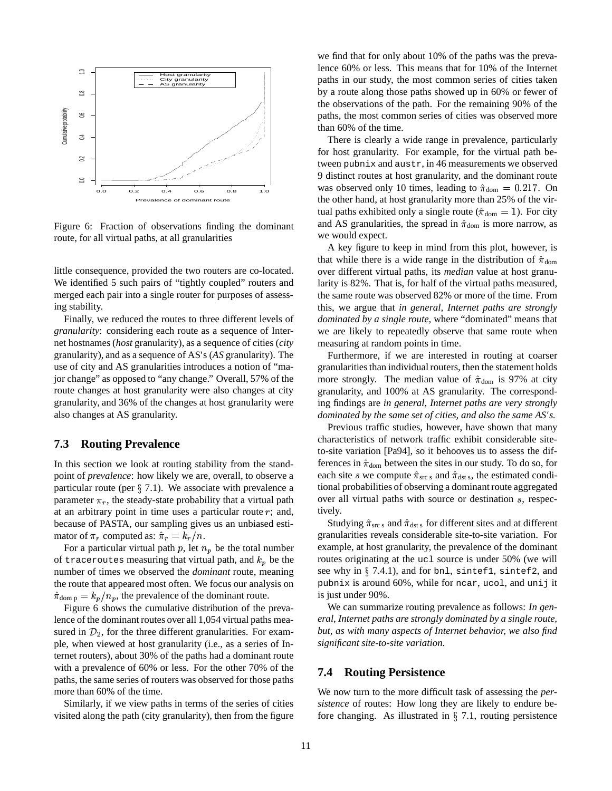

Figure 6: Fraction of observations finding the dominant route, for all virtual paths, at all granularities

little consequence, provided the two routers are co-located. We identified 5 such pairs of "tightly coupled" routers and merged each pair into a single router for purposes of assessing stability.

Finally, we reduced the routes to three different levels of *granularity*: considering each route as a sequence of Internet hostnames (*host* granularity), as a sequence of cities (*city* granularity), and as a sequence of AS's (*AS* granularity). The use of city and AS granularities introduces a notion of "major change" as opposed to "any change." Overall, 57% of the route changes at host granularity were also changes at city granularity, and 36% of the changes at host granularity were also changes at AS granularity.

## **7.3 Routing Prevalence**

In this section we look at routing stability from the standpoint of *prevalence*: how likely we are, overall, to observe a particular route (per  $\S$  7.1). We associate with prevalence a parameter  $\pi_r$ , the steady-state probability that a virtual path at an arbitrary point in time uses a particular route  $r$ ; and, because of PASTA, our sampling gives us an unbiased estimator of  $\pi_r$  computed as:  $\hat{\pi}_r = k_r/n$ .

For a particular virtual path  $p$ , let  $n_p$  be the total number of traceroutes measuring that virtual path, and  $k_p$  be the number of times we observed the *dominant* route, meaning the route that appeared most often. We focus our analysis on  $\hat{\pi}_{\text{dom p}} = k_p/n_p$ , the prevalence of the dominant route.

Figure 6 shows the cumulative distribution of the prevalence of the dominant routes over all 1,054 virtual paths measured in  $\mathcal{D}_2$ , for the three different granularities. For example, when viewed at host granularity (i.e., as a series of Internet routers), about 30% of the paths had a dominant route with a prevalence of 60% or less. For the other 70% of the paths, the same series of routers was observed for those paths more than 60% of the time.

Similarly, if we view paths in terms of the series of cities visited along the path (city granularity), then from the figure we find that for only about 10% of the paths was the prevalence 60% or less. This means that for 10% of the Internet paths in our study, the most common series of cities taken by a route along those paths showed up in 60% or fewer of the observations of the path. For the remaining 90% of the paths, the most common series of cities was observed more than 60% of the time.

There is clearly a wide range in prevalence, particularly for host granularity. For example, for the virtual path between pubnix and austr, in 46 measurements we observed 9 distinct routes at host granularity, and the dominant route was observed only 10 times, leading to  $\hat{\pi}_{\text{dom}} = 0.217$ . On the other hand, at host granularity more than 25% of the virtual paths exhibited only a single route ( $\hat{\pi}_{dom} = 1$ ). For city and AS granularities, the spread in  $\hat{\pi}_{dom}$  is more narrow, as we would expect.

A key figure to keep in mind from this plot, however, is that while there is a wide range in the distribution of  $\hat{\pi}_{dom}$ over different virtual paths, its *median* value at host granularity is 82%. That is, for half of the virtual paths measured, the same route was observed 82% or more of the time. From this, we argue that *in general, Internet paths are strongly dominated by a single route,* where "dominated" means that we are likely to repeatedly observe that same route when measuring at random points in time.

Furthermore, if we are interested in routing at coarser granularities than individual routers, then the statement holds more strongly. The median value of  $\hat{\pi}_{dom}$  is 97% at city granularity, and 100% at AS granularity. The corresponding findings are *in general, Internet paths are very strongly dominated by the same set of cities, and also the same AS's.*

Previous traffic studies, however, have shown that many characteristics of network traffic exhibit considerable siteto-site variation [Pa94], so it behooves us to assess the differences in  $\hat{\pi}_{\text{dom}}$  between the sites in our study. To do so, for each site s we compute  $\hat{\pi}_{src s}$  and  $\hat{\pi}_{dst s}$ , the estimated conditional probabilities of observing a dominant route aggregated over all virtual paths with source or destination  $s$ , respectively.

Studying  $\hat{\pi}_{\text{src s}}$  and  $\hat{\pi}_{\text{dst s}}$  for different sites and at different granularities reveals considerable site-to-site variation. For example, at host granularity, the prevalence of the dominant routes originating at the ucl source is under 50% (we will see why in  $\S$  7.4.1), and for bnl, sintef1, sintef2, and pubnix is around 60%, while for ncar, ucol, and unij it is just under 90%.

We can summarize routing prevalence as follows: *In general, Internet paths are strongly dominated by a single route, but, as with many aspects of Internet behavior, we also find significant site-to-site variation.*

## **7.4 Routing Persistence**

We now turn to the more difficult task of assessing the *persistence* of routes: How long they are likely to endure before changing. As illustrated in  $\S$  7.1, routing persistence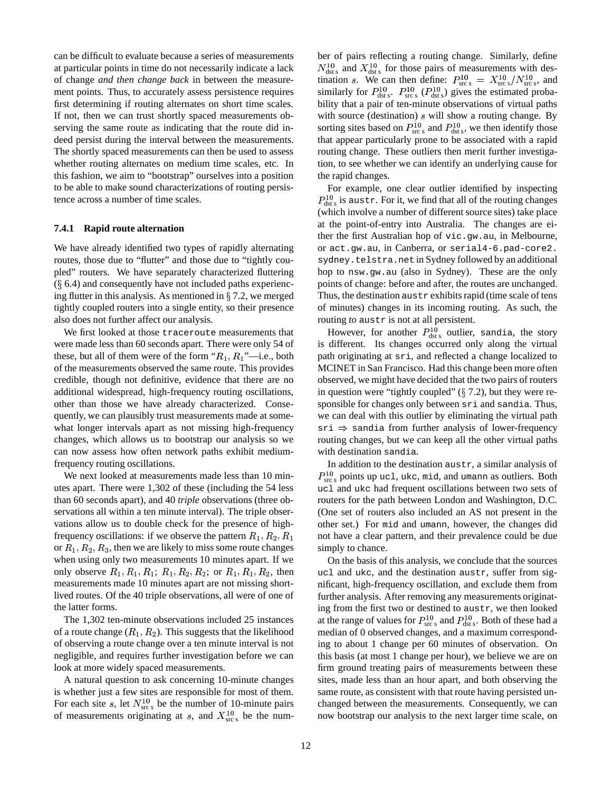can be difficult to evaluate because a series of measurements at particular points in time do not necessarily indicate a lack of change *and then change back* in between the measurement points. Thus, to accurately assess persistence requires first determining if routing alternates on short time scales. If not, then we can trust shortly spaced measurements observing the same route as indicating that the route did indeed persist during the interval between the measurements. The shortly spaced measurements can then be used to assess whether routing alternates on medium time scales, etc. In this fashion, we aim to "bootstrap" ourselves into a position to be able to make sound characterizations of routing persistence across a number of time scales.

#### **7.4.1 Rapid route alternation**

We have already identified two types of rapidly alternating routes, those due to "flutter" and those due to "tightly coupled" routers. We have separately characterized fluttering  $(\S$  6.4) and consequently have not included paths experiencing flutter in this analysis. As mentioned in  $\S$  7.2, we merged tightly coupled routers into a single entity, so their presence also does not further affect our analysis.

We first looked at those traceroute measurements that were made less than 60 seconds apart. There were only 54 of these, but all of them were of the form " $R_1, R_1$ "—i.e., both of the measurements observed the same route. This provides credible, though not definitive, evidence that there are no additional widespread, high-frequency routing oscillations, other than those we have already characterized. Consequently, we can plausibly trust measurements made at somewhat longer intervals apart as not missing high-frequency changes, which allows us to bootstrap our analysis so we can now assess how often network paths exhibit mediumfrequency routing oscillations.

We next looked at measurements made less than 10 minutes apart. There were 1,302 of these (including the 54 less than 60 seconds apart), and 40 *triple* observations (three observations all within a ten minute interval). The triple observations allow us to double check for the presence of highfrequency oscillations: if we observe the pattern  $R_1, R_2, R_1$ or  $R_1, R_2, R_3$ , then we are likely to miss some route changes when using only two measurements 10 minutes apart. If we only observe  $R_1, R_1, R_1; R_1, R_2, R_2;$  or  $R_1, R_1, R_2$ , then measurements made 10 minutes apart are not missing shortlived routes. Of the 40 triple observations, all were of one of the latter forms.

The 1,302 ten-minute observations included 25 instances of a route change  $(R_1, R_2)$ . This suggests that the likelihood of observing a route change over a ten minute interval is not negligible, and requires further investigation before we can look at more widely spaced measurements.

A natural question to ask concerning 10-minute changes is whether just a few sites are responsible for most of them. For each site s, let  $N_{\rm src}^{10}$  be the number of 10-minute pairs of measurements originating at s, and  $X_{\text{src}}^{10}$  be the num-

ber of pairs reflecting a routing change. Similarly, define  $N_{\text{dst s}}^{10}$  and  $X_{\text{dst s}}^{10}$  for those pairs of measurements with destination s. We can then define:  $P_{\text{src s}}^{10} = X_{\text{src s}}^{10}/N_{\text{src s}}^{10}$ , and similarly for  $P_{\text{dst s}}^{10}$ .  $P_{\text{src s}}^{10}$  ( $P_{\text{dst s}}^{10}$ ) gives the estimated probability that a pair of ten-minute observations of virtual paths with source (destination)  $s$  will show a routing change. By sorting sites based on  $P_{\text{src}}^{10}$  and  $P_{\text{dst}}^{10}$ , we then identify those that appear particularly prone to be associated with a rapid routing change. These outliers then merit further investigation, to see whether we can identify an underlying cause for the rapid changes.

For example, one clear outlier identified by inspecting  $P_{\text{dst s}}^{10}$  is austr. For it, we find that all of the routing changes (which involve a number of different source sites) take place at the point-of-entry into Australia. The changes are either the first Australian hop of vic.gw.au, in Melbourne, or act.gw.au, in Canberra, or serial4-6.pad-core2. sydney.telstra.net in Sydney followed by an additional hop to nsw.gw.au (also in Sydney). These are the only points of change: before and after, the routes are unchanged. Thus, the destination austrexhibits rapid (time scale of tens of minutes) changes in its incoming routing. As such, the routing *to* austr is not at all persistent.

However, for another  $P_{\text{dst}}^{10}$  outlier, sandia, the story is different. Its changes occurred only along the virtual path originating at sri, and reflected a change localized to MCINET in San Francisco. Had this change been more often observed, we might have decided that the two pairs of routers in question were "tightly coupled"  $(\S$  7.2), but they were responsible for changes only between sri and sandia. Thus, we can deal with this outlier by eliminating the virtual path  $sri \Rightarrow$  sandia from further analysis of lower-frequency routing changes, but we can keep all the other virtual paths with destination sandia.

In addition to the destination austr, a similar analysis of  $P_{\rm src}^{10}$  s points up ucl, ukc, mid, and umann as outliers. Both ucl and ukc had frequent oscillations between two sets of routers for the path between London and Washington, D.C. (One set of routers also included an AS not present in the other set.) For mid and umann, however, the changes did not have a clear pattern, and their prevalence could be due simply to chance.

On the basis of this analysis, we conclude that the sources ucl and ukc, and the destination austr, suffer from significant, high-frequency oscillation, and exclude them from further analysis. After removing any measurements originating from the first two or destined to austr, we then looked at the range of values for  $P_{\text{src}}^{10}$  and  $P_{\text{dst}}^{10}$ . Both of these had a median of 0 observed changes, and a maximum corresponding to about 1 change per 60 minutes of observation. On this basis (at most 1 change per hour), we believe we are on firm ground treating pairs of measurements between these sites, made less than an hour apart, and both observing the same route, as consistent with that route having persisted unchanged between the measurements. Consequently, we can now bootstrap our analysis to the next larger time scale, on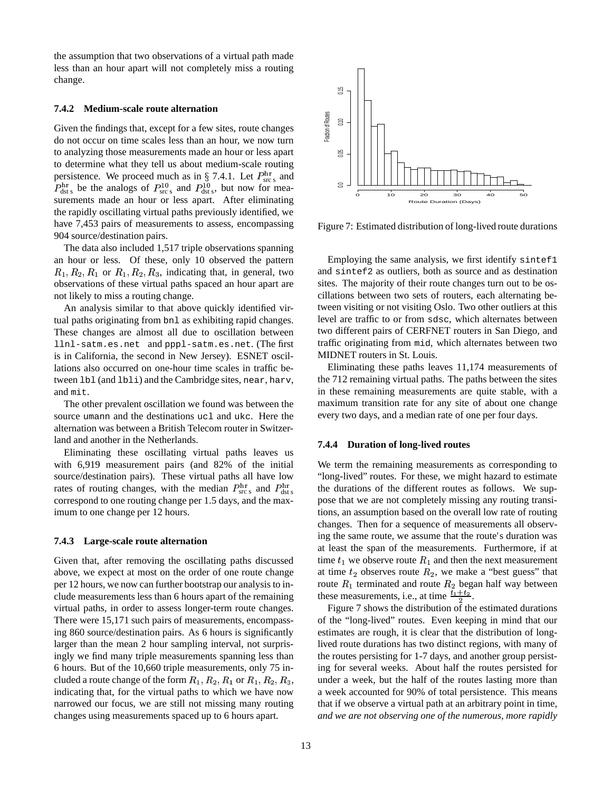the assumption that two observations of a virtual path made less than an hour apart will not completely miss a routing change.

#### **7.4.2 Medium-scale route alternation**

Given the findings that, except for a few sites, route changes do not occur on time scales less than an hour, we now turn to analyzing those measurements made an hour or less apart to determine what they tell us about medium-scale routing persistence. We proceed much as in  $\S$  7.4.1. Let  $P_{\text{src}}^{\text{hr}}$  and  $\frac{1}{2}$   $\frac{1}{2}$   $\frac{1}{2}$   $\frac{1}{2}$   $\frac{1}{2}$   $\frac{1}{2}$   $\frac{1}{2}$   $\frac{1}{2}$   $\frac{1}{2}$   $\frac{1}{2}$   $\frac{1}{2}$   $\frac{1}{2}$   $\frac{1}{2}$   $\frac{1}{2}$   $\frac{1}{2}$   $\frac{1}{2}$   $\frac{1}{2}$   $\frac{1}{2}$   $\frac{1}{2}$   $\frac{1}{2}$   $\frac{1}{2}$   $\frac{1}{2$  $q_{\text{dst s}}^{\text{thr}}$  be the analogs of  $P_{\text{src s}}^{10}$  and  $P_{\text{dst s}}^{10}$ , but now for measurements made an hour or less apart. After eliminating the rapidly oscillating virtual paths previously identified, we have 7,453 pairs of measurements to assess, encompassing 904 source/destination pairs.

The data also included 1,517 triple observations spanning an hour or less. Of these, only 10 observed the pattern  $R_1, R_2, R_1$  or  $R_1, R_2, R_3$ , indicating that, in general, two observations of these virtual paths spaced an hour apart are not likely to miss a routing change.

An analysis similar to that above quickly identified virtual paths originating from bnl as exhibiting rapid changes. These changes are almost all due to oscillation between llnl-satm.es.net and pppl-satm.es.net. (The first is in California, the second in New Jersey). ESNET oscillations also occurred on one-hour time scales in traffic between lbl (and lbli) and the Cambridge sites, near, harv, and mit.

The other prevalent oscillation we found was between the source umann and the destinations ucl and ukc. Here the alternation was between a British Telecom router in Switzerland and another in the Netherlands.

Eliminating these oscillating virtual paths leaves us with 6,919 measurement pairs (and 82% of the initial source/destination pairs). These virtual paths all have low rates of routing changes, with the median  $P_{\text{src s}}^{\text{hr}}$  and  $P_{\text{dst s}}^{\text{hr}}$  the dur correspond to one routing change per 1.5 days, and the maximum to one change per 12 hours.

#### **7.4.3 Large-scale route alternation**

Given that, after removing the oscillating paths discussed above, we expect at most on the order of one route change per 12 hours, we now can further bootstrap our analysis to include measurements less than 6 hours apart of the remaining virtual paths, in order to assess longer-term route changes. There were 15,171 such pairs of measurements, encompassing 860 source/destination pairs. As 6 hours is significantly larger than the mean 2 hour sampling interval, not surprisingly we find many triple measurements spanning less than 6 hours. But of the 10,660 triple measurements, only 75 included a route change of the form  $R_1, R_2, R_1$  or  $R_1, R_2, R_3,$ indicating that, for the virtual paths to which we have now narrowed our focus, we are still not missing many routing changes using measurements spaced up to 6 hours apart.



Figure 7: Estimated distribution of long-lived route durations

Employing the same analysis, we first identify sintef1 and sintef2 as outliers, both as source and as destination sites. The majority of their route changes turn out to be oscillations between two sets of routers, each alternating between visiting or not visiting Oslo. Two other outliers at this level are traffic to or from sdsc, which alternates between two different pairs of CERFNET routers in San Diego, and traffic originating from mid, which alternates between two MIDNET routers in St. Louis.

Eliminating these paths leaves 11,174 measurements of the 712 remaining virtual paths. The paths between the sites in these remaining measurements are quite stable, with a maximum transition rate for any site of about one change every two days, and a median rate of one per four days.

#### **7.4.4 Duration of long-lived routes**

We term the remaining measurements as corresponding to "long-lived" routes. For these, we might hazard to estimate the durations of the different routes as follows. We suppose that we are not completely missing any routing transitions, an assumption based on the overall low rate of routing changes. Then for a sequence of measurements all observing the same route, we assume that the route's duration was at least the span of the measurements. Furthermore, if at time  $t_1$  we observe route  $R_1$  and then the next measurement at time  $t_2$  observes route  $R_2$ , we make a "best guess" that route  $R_1$  terminated and route  $R_2$  began half way between these measurements, i.e., at time  $\frac{t_1+t_2}{2}$ .

Figure 7 shows the distribution of the estimated durations of the "long-lived" routes. Even keeping in mind that our estimates are rough, it is clear that the distribution of longlived route durations has two distinct regions, with many of the routes persisting for 1-7 days, and another group persisting for several weeks. About half the routes persisted for under a week, but the half of the routes lasting more than a week accounted for 90% of total persistence. This means that if we observe a virtual path at an arbitrary point in time, *and we are not observing one of the numerous, more rapidly*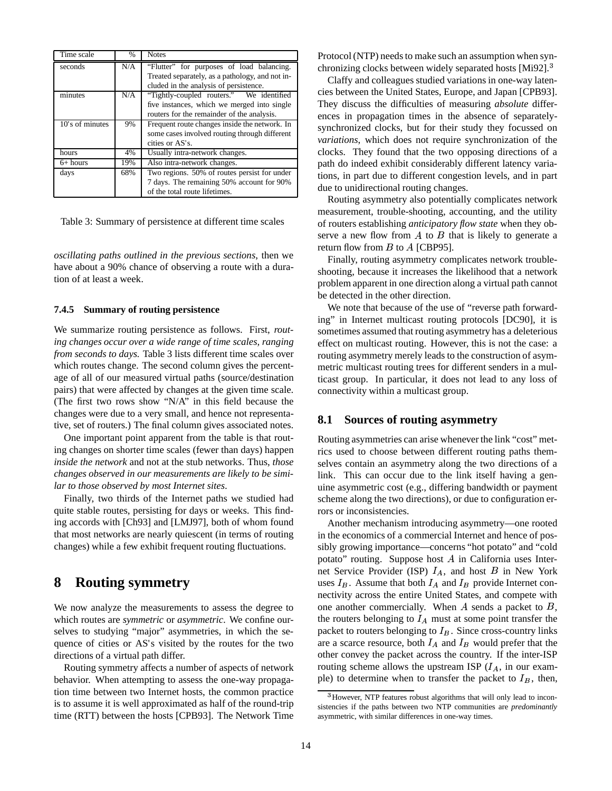| Time scale      | $\frac{0}{0}$ | <b>Notes</b>                                    |
|-----------------|---------------|-------------------------------------------------|
| seconds         | N/A           | "Flutter" for purposes of load balancing.       |
|                 |               | Treated separately, as a pathology, and not in- |
|                 |               | cluded in the analysis of persistence.          |
| minutes         | N/A           | "Tightly-coupled routers." We identified        |
|                 |               | five instances, which we merged into single     |
|                 |               | routers for the remainder of the analysis.      |
| 10's of minutes | 9%            | Frequent route changes inside the network. In   |
|                 |               | some cases involved routing through different   |
|                 |               | cities or AS's.                                 |
| hours           | 4%            | Usually intra-network changes.                  |
| $6+ hours$      | 19%           | Also intra-network changes.                     |
| days            | 68%           | Two regions. 50% of routes persist for under    |
|                 |               | 7 days. The remaining 50% account for 90%       |
|                 |               | of the total route lifetimes.                   |

Table 3: Summary of persistence at different time scales

*oscillating paths outlined in the previous sections*, then we have about a 90% chance of observing a route with a duration of at least a week.

#### **7.4.5 Summary of routing persistence**

We summarize routing persistence as follows. First, *routing changes occur over a wide range of time scales, ranging from seconds to days.* Table 3 lists different time scales over which routes change. The second column gives the percentage of all of our measured virtual paths (source/destination pairs) that were affected by changes at the given time scale. (The first two rows show "N/A" in this field because the changes were due to a very small, and hence not representative, set of routers.) The final column gives associated notes.

One important point apparent from the table is that routing changes on shorter time scales (fewer than days) happen *inside the network* and not at the stub networks. Thus, *those changes observed in our measurements are likely to be similar to those observed by most Internet sites*.

Finally, two thirds of the Internet paths we studied had quite stable routes, persisting for days or weeks. This finding accords with [Ch93] and [LMJ97], both of whom found that most networks are nearly quiescent (in terms of routing changes) while a few exhibit frequent routing fluctuations.

# **8 Routing symmetry**

We now analyze the measurements to assess the degree to which routes are *symmetric* or *asymmetric*. We confine ourselves to studying "major" asymmetries, in which the sequence of cities or AS's visited by the routes for the two directions of a virtual path differ.

Routing symmetry affects a number of aspects of network behavior. When attempting to assess the one-way propagation time between two Internet hosts, the common practice is to assume it is well approximated as half of the round-trip time (RTT) between the hosts [CPB93]. The Network Time Protocol (NTP) needs to make such an assumption when synchronizing clocks between widely separated hosts [Mi92].

Claffy and colleagues studied variations in one-way latencies between the United States, Europe, and Japan [CPB93]. They discuss the difficulties of measuring *absolute* differences in propagation times in the absence of separatelysynchronized clocks, but for their study they focussed on *variations*, which does not require synchronization of the clocks. They found that the two opposing directions of a path do indeed exhibit considerably different latency variations, in part due to different congestion levels, and in part due to unidirectional routing changes.

Routing asymmetry also potentially complicates network measurement, trouble-shooting, accounting, and the utility of routers establishing *anticipatory flow state* when they observe a new flow from  $A$  to  $B$  that is likely to generate a return flow from  $B$  to  $A$  [CBP95].

Finally, routing asymmetry complicates network troubleshooting, because it increases the likelihood that a network problem apparent in one direction along a virtual path cannot be detected in the other direction.

We note that because of the use of "reverse path forwarding" in Internet multicast routing protocols [DC90], it is sometimes assumed that routing asymmetry has a deleterious effect on multicast routing. However, this is not the case: a routing asymmetry merely leads to the construction of asymmetric multicast routing trees for different senders in a multicast group. In particular, it does not lead to any loss of connectivity within a multicast group.

### **8.1 Sources of routing asymmetry**

Routing asymmetries can arise whenever the link "cost" metrics used to choose between different routing paths themselves contain an asymmetry along the two directions of a link. This can occur due to the link itself having a genuine asymmetric cost (e.g., differing bandwidth or payment scheme along the two directions), or due to configuration errors or inconsistencies.

Another mechanism introducing asymmetry—one rooted in the economics of a commercial Internet and hence of possibly growing importance—concerns "hot potato" and "cold potato" routing. Suppose host  $A$  in California uses Internet Service Provider (ISP)  $I_A$ , and host  $B$  in New York uses  $I_B$ . Assume that both  $I_A$  and  $I_B$  provide Internet connectivity across the entire United States, and compete with one another commercially. When  $A$  sends a packet to  $B$ , the routers belonging to  $I_A$  must at some point transfer the packet to routers belonging to  $I_B$ . Since cross-country links are a scarce resource, both  $I_A$  and  $I_B$  would prefer that the other convey the packet across the country. If the inter-ISP routing scheme allows the upstream ISP  $(I_A, \text{ in our exam-}$ ple) to determine when to transfer the packet to  $I_B$ , then,

<sup>&</sup>lt;sup>3</sup>However, NTP features robust algorithms that will only lead to inconsistencies if the paths between two NTP communities are *predominantly* asymmetric, with similar differences in one-way times.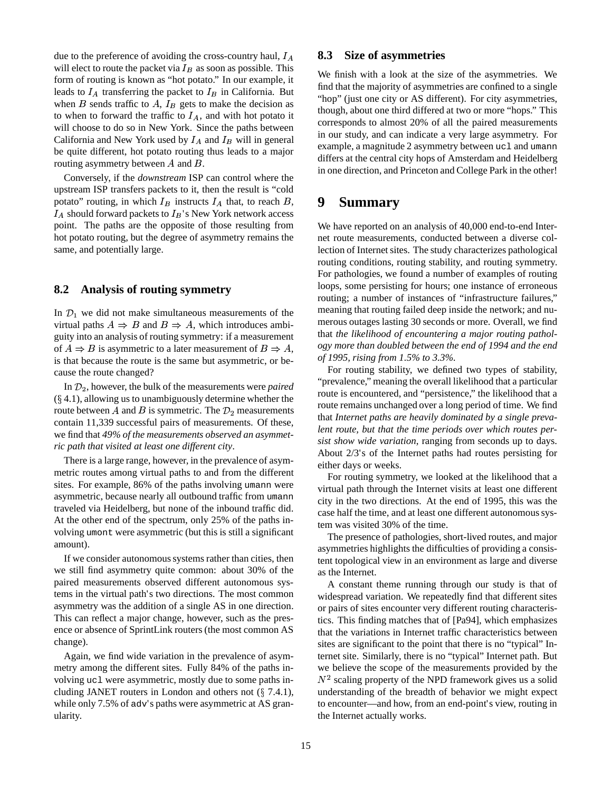due to the preference of avoiding the cross-country haul,  $I_A$  8.3 will elect to route the packet via  $I_B$  as soon as possible. This form of routing is known as "hot potato." In our example, it leads to  $I_A$  transferring the packet to  $I_B$  in California. But when  $B$  sends traffic to  $A$ ,  $I_B$  gets to make the decision as to when to forward the traffic to  $I_A$ , and with hot potato it will choose to do so in New York. Since the paths between California and New York used by  $I_A$  and  $I_B$  will in general be quite different, hot potato routing thus leads to a major routing asymmetry between  $A$  and  $B$ .

Conversely, if the *downstream* ISP can control where the upstream ISP transfers packets to it, then the result is "cold potato" routing, in which  $I_B$  instructs  $I_A$  that, to reach B, 9 Su  $I_A$  should forward packets to  $I_B$ 's New York network access point. The paths are the opposite of those resulting from hot potato routing, but the degree of asymmetry remains the same, and potentially large.

### **8.2 Analysis of routing symmetry**

In  $\mathcal{D}_1$  we did not make simultaneous measurements of the virtual paths  $A \Rightarrow B$  and  $B \Rightarrow A$ , which introduces ambiguity into an analysis of routing symmetry: if a measurement of  $A \Rightarrow B$  is asymmetric to a later measurement of  $B \Rightarrow A$ , ogy more to is that because the route is the same but asymmetric, or because the route changed?

In  $\mathcal{D}_2$ , however, the bulk of the measurements were *paired*  $(\S 4.1)$ , allowing us to unambiguously determine whether the route between A and B is symmetric. The  $\mathcal{D}_2$  measurements contain 11,339 successful pairs of measurements. Of these, we find that *49% of the measurements observed an asymmetric path that visited at least one different city*.

There is a large range, however, in the prevalence of asymmetric routes among virtual paths to and from the different sites. For example, 86% of the paths involving umann were asymmetric, because nearly all outbound traffic from umann traveled via Heidelberg, but none of the inbound traffic did. At the other end of the spectrum, only 25% of the paths involving umont were asymmetric (but this is still a significant amount).

If we consider autonomous systems rather than cities, then we still find asymmetry quite common: about 30% of the paired measurements observed different autonomous systems in the virtual path's two directions. The most common asymmetry was the addition of a single AS in one direction. This can reflect a major change, however, such as the presence or absence of SprintLink routers (the most common AS change).

Again, we find wide variation in the prevalence of asymmetry among the different sites. Fully 84% of the paths involving ucl were asymmetric, mostly due to some paths including JANET routers in London and others not  $(\S$  7.4.1), while only 7.5% of adv's paths were asymmetric at AS granularity.

## **8.3 Size of asymmetries**

We finish with a look at the size of the asymmetries. We find that the majority of asymmetries are confined to a single "hop" (just one city or AS different). For city asymmetries, though, about one third differed at two or more "hops." This corresponds to almost 20% of all the paired measurements in our study, and can indicate a very large asymmetry. For example, a magnitude 2 asymmetry between ucl and umann differs at the central city hops of Amsterdam and Heidelberg in one direction, and Princeton and College Park in the other!

# **9 Summary**

 *ogy more than doubled between the end of 1994 and the end* We have reported on an analysis of 40,000 end-to-end Internet route measurements, conducted between a diverse collection of Internet sites. The study characterizes pathological routing conditions, routing stability, and routing symmetry. For pathologies, we found a number of examples of routing loops, some persisting for hours; one instance of erroneous routing; a number of instances of "infrastructure failures," meaning that routing failed deep inside the network; and numerous outages lasting 30 seconds or more. Overall, we find that *the likelihood of encountering a major routing patholof 1995, rising from 1.5% to 3.3%.*

For routing stability, we defined two types of stability, "prevalence," meaning the overall likelihood that a particular route is encountered, and "persistence," the likelihood that a route remains unchanged over a long period of time. We find that *Internet paths are heavily dominated by a single prevalent route, but that the time periods over which routes persist show wide variation*, ranging from seconds up to days. About 2/3's of the Internet paths had routes persisting for either days or weeks.

For routing symmetry, we looked at the likelihood that a virtual path through the Internet visits at least one different city in the two directions. At the end of 1995, this was the case half the time, and at least one different autonomous system was visited 30% of the time.

The presence of pathologies, short-lived routes, and major asymmetries highlights the difficulties of providing a consistent topological view in an environment as large and diverse as the Internet.

A constant theme running through our study is that of widespread variation. We repeatedly find that different sites or pairs of sites encounter very different routing characteristics. This finding matches that of [Pa94], which emphasizes that the variations in Internet traffic characteristics between sites are significant to the point that there is no "typical" Internet site. Similarly, there is no "typical" Internet path. But we believe the scope of the measurements provided by the  $N^2$  scaling property of the NPD framework gives us a solid understanding of the breadth of behavior we might expect to encounter—and how, from an end-point's view, routing in the Internet actually works.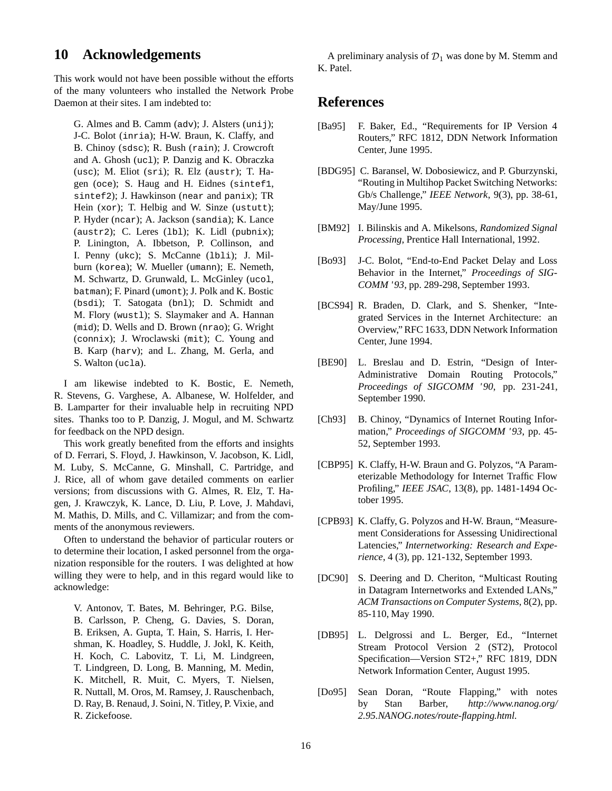# **10 Acknowledgements**

This work would not have been possible without the efforts of the many volunteers who installed the Network Probe Daemon at their sites. I am indebted to:

G. Almes and B. Camm (adv); J. Alsters (unij); J-C. Bolot (inria); H-W. Braun, K. Claffy, and B. Chinoy (sdsc); R. Bush (rain); J. Crowcroft and A. Ghosh (ucl); P. Danzig and K. Obraczka (usc); M. Eliot (sri); R. Elz (austr); T. Hagen (oce); S. Haug and H. Eidnes (sintef1, sintef2); J. Hawkinson (near and panix); TR Hein (xor); T. Helbig and W. Sinze (ustutt); P. Hyder (ncar); A. Jackson (sandia); K. Lance ( $austr2$ ); C. Leres ( $1b1$ ); K. Lidl ( $pubnix$ ); P. Linington, A. Ibbetson, P. Collinson, and I. Penny (ukc); S. McCanne (lbli); J. Milburn (korea); W. Mueller (umann); E. Nemeth, M. Schwartz, D. Grunwald, L. McGinley (ucol, batman); F. Pinard (umont); J. Polk and K. Bostic (bsdi); T. Satogata (bnl); D. Schmidt and M. Flory (wustl); S. Slaymaker and A. Hannan (mid); D. Wells and D. Brown (nrao); G. Wright (connix); J. Wroclawski (mit); C. Young and B. Karp (harv); and L. Zhang, M. Gerla, and S. Walton (ucla).

I am likewise indebted to K. Bostic, E. Nemeth, R. Stevens, G. Varghese, A. Albanese, W. Holfelder, and B. Lamparter for their invaluable help in recruiting NPD sites. Thanks too to P. Danzig, J. Mogul, and M. Schwartz for feedback on the NPD design.

This work greatly benefited from the efforts and insights of D. Ferrari, S. Floyd, J. Hawkinson, V. Jacobson, K. Lidl, M. Luby, S. McCanne, G. Minshall, C. Partridge, and J. Rice, all of whom gave detailed comments on earlier versions; from discussions with G. Almes, R. Elz, T. Hagen, J. Krawczyk, K. Lance, D. Liu, P. Love, J. Mahdavi, M. Mathis, D. Mills, and C. Villamizar; and from the comments of the anonymous reviewers.

Often to understand the behavior of particular routers or to determine their location, I asked personnel from the organization responsible for the routers. I was delighted at how willing they were to help, and in this regard would like to acknowledge:

V. Antonov, T. Bates, M. Behringer, P.G. Bilse, B. Carlsson, P. Cheng, G. Davies, S. Doran, B. Eriksen, A. Gupta, T. Hain, S. Harris, I. Hershman, K. Hoadley, S. Huddle, J. Jokl, K. Keith, H. Koch, C. Labovitz, T. Li, M. Lindgreen, T. Lindgreen, D. Long, B. Manning, M. Medin, K. Mitchell, R. Muit, C. Myers, T. Nielsen, R. Nuttall, M. Oros, M. Ramsey, J. Rauschenbach, D. Ray, B. Renaud, J. Soini, N. Titley, P. Vixie, and R. Zickefoose.

A preliminary analysis of  $\mathcal{D}_1$  was done by M. Stemm and K. Patel.

# **References**

- [Ba95] F. Baker, Ed., "Requirements for IP Version 4 Routers," RFC 1812, DDN Network Information Center, June 1995.
- [BDG95] C. Baransel, W. Dobosiewicz, and P. Gburzynski, "Routing in Multihop Packet Switching Networks: Gb/s Challenge," *IEEE Network*, 9(3), pp. 38-61, May/June 1995.
- [BM92] I. Bilinskis and A. Mikelsons, *Randomized Signal Processing*, Prentice Hall International, 1992.
- [Bo93] J-C. Bolot, "End-to-End Packet Delay and Loss Behavior in the Internet," *Proceedings of SIG-COMM '93*, pp. 289-298, September 1993.
- [BCS94] R. Braden, D. Clark, and S. Shenker, "Integrated Services in the Internet Architecture: an Overview," RFC 1633, DDN Network Information Center, June 1994.
- [BE90] L. Breslau and D. Estrin, "Design of Inter-Administrative Domain Routing Protocols," *Proceedings of SIGCOMM '90*, pp. 231-241, September 1990.
- [Ch93] B. Chinoy, "Dynamics of Internet Routing Information," *Proceedings of SIGCOMM '93*, pp. 45- 52, September 1993.
- [CBP95] K. Claffy, H-W. Braun and G. Polyzos, "A Parameterizable Methodology for Internet Traffic Flow Profiling," *IEEE JSAC*, 13(8), pp. 1481-1494 October 1995.
- [CPB93] K. Claffy, G. Polyzos and H-W. Braun, "Measurement Considerations for Assessing Unidirectional Latencies," *Internetworking: Research and Experience*, 4 (3), pp. 121-132, September 1993.
- [DC90] S. Deering and D. Cheriton, "Multicast Routing in Datagram Internetworks and Extended LANs," *ACM Transactions on Computer Systems*, 8(2), pp. 85-110, May 1990.
- [DB95] L. Delgrossi and L. Berger, Ed., "Internet Stream Protocol Version 2 (ST2), Protocol Specification—Version ST2+," RFC 1819, DDN Network Information Center, August 1995.
- [Do95] Sean Doran, "Route Flapping," with notes by Stan Barber, *http://www.nanog.org/ 2.95.NANOG.notes/route-flapping.html.*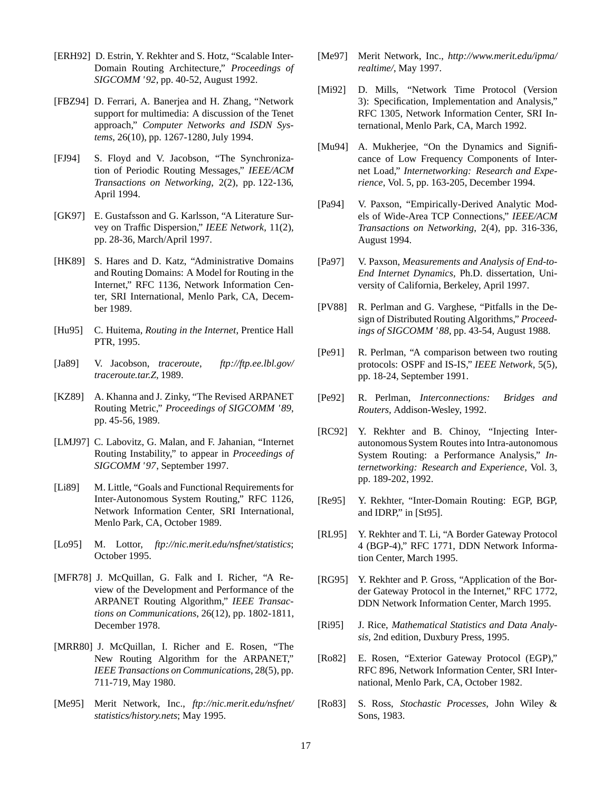- [ERH92] D. Estrin, Y. Rekhter and S. Hotz, "Scalable Inter-Domain Routing Architecture," *Proceedings of SIGCOMM '92*, pp. 40-52, August 1992.
- [FBZ94] D. Ferrari, A. Banerjea and H. Zhang, "Network support for multimedia: A discussion of the Tenet approach," *Computer Networks and ISDN Systems*, 26(10), pp. 1267-1280, July 1994.
- [FJ94] S. Floyd and V. Jacobson, "The Synchronization of Periodic Routing Messages," *IEEE/ACM Transactions on Networking*, 2(2), pp. 122-136, April 1994.
- [GK97] E. Gustafsson and G. Karlsson, "A Literature Survey on Traffic Dispersion," *IEEE Network*, 11(2), pp. 28-36, March/April 1997.
- [HK89] S. Hares and D. Katz, "Administrative Domains" and Routing Domains: A Model for Routing in the Internet," RFC 1136, Network Information Center, SRI International, Menlo Park, CA, December 1989.
- [Hu95] C. Huitema, *Routing in the Internet*, Prentice Hall PTR, 1995.
- [Ja89] V. Jacobson, *traceroute*, *ftp://ftp.ee.lbl.gov/ traceroute.tar.Z*, 1989.
- [KZ89] A. Khanna and J. Zinky, "The Revised ARPANET" Routing Metric," *Proceedings of SIGCOMM '89*, pp. 45-56, 1989.
- [LMJ97] C. Labovitz, G. Malan, and F. Jahanian, "Internet Routing Instability," to appear in *Proceedings of SIGCOMM '97*, September 1997.
- [Li89] M. Little, "Goals and Functional Requirements for Inter-Autonomous System Routing," RFC 1126, Network Information Center, SRI International, Menlo Park, CA, October 1989.
- [Lo95] M. Lottor, *ftp://nic.merit.edu/nsfnet/statistics*; October 1995.
- [MFR78] J. McQuillan, G. Falk and I. Richer, "A Review of the Development and Performance of the ARPANET Routing Algorithm," *IEEE Transactions on Communications*, 26(12), pp. 1802-1811, December 1978.
- [MRR80] J. McQuillan, I. Richer and E. Rosen, "The New Routing Algorithm for the ARPANET," *IEEE Transactions on Communications*, 28(5), pp. 711-719, May 1980.
- [Me95] Merit Network, Inc., *ftp://nic.merit.edu/nsfnet/ statistics/history.nets*; May 1995.
- [Me97] Merit Network, Inc., *http://www.merit.edu/ipma/ realtime/*, May 1997.
- [Mi92] D. Mills, "Network Time Protocol (Version 3): Specification, Implementation and Analysis," RFC 1305, Network Information Center, SRI International, Menlo Park, CA, March 1992.
- [Mu94] A. Mukherjee, "On the Dynamics and Significance of Low Frequency Components of Internet Load," *Internetworking: Research and Experience*, Vol. 5, pp. 163-205, December 1994.
- [Pa94] V. Paxson, "Empirically-Derived Analytic Models of Wide-Area TCP Connections," *IEEE/ACM Transactions on Networking*, 2(4), pp. 316-336, August 1994.
- [Pa97] V. Paxson, *Measurements and Analysis of End-to-End Internet Dynamics,* Ph.D. dissertation, University of California, Berkeley, April 1997.
- [PV88] R. Perlman and G. Varghese, "Pitfalls in the Design of Distributed Routing Algorithms," *Proceedings of SIGCOMM '88*, pp. 43-54, August 1988.
- [Pe91] R. Perlman, "A comparison between two routing protocols: OSPF and IS-IS," *IEEE Network*, 5(5), pp. 18-24, September 1991.
- [Pe92] R. Perlman, *Interconnections: Bridges and Routers,* Addison-Wesley, 1992.
- [RC92] Y. Rekhter and B. Chinoy, "Injecting Interautonomous System Routes into Intra-autonomous System Routing: a Performance Analysis," *Internetworking: Research and Experience*, Vol. 3, pp. 189-202, 1992.
- [Re95] Y. Rekhter, "Inter-Domain Routing: EGP, BGP, and IDRP," in [St95].
- [RL95] Y. Rekhter and T. Li, "A Border Gateway Protocol 4 (BGP-4)," RFC 1771, DDN Network Information Center, March 1995.
- [RG95] Y. Rekhter and P. Gross, "Application of the Border Gateway Protocol in the Internet," RFC 1772, DDN Network Information Center, March 1995.
- [Ri95] J. Rice, *Mathematical Statistics and Data Analysis*, 2nd edition, Duxbury Press, 1995.
- [Ro82] E. Rosen, "Exterior Gateway Protocol (EGP)," RFC 896, Network Information Center, SRI International, Menlo Park, CA, October 1982.
- [Ro83] S. Ross, *Stochastic Processes*, John Wiley & Sons, 1983.